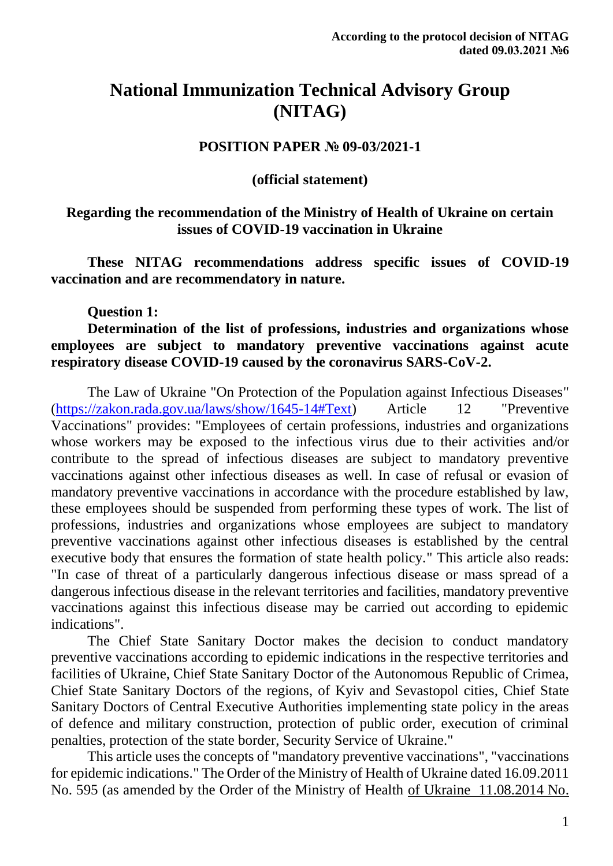# **National Immunization Technical Advisory Group (NITAG)**

## **POSITION PAPER № 09-03/2021-1**

#### **(official statement)**

## **Regarding the recommendation of the Ministry of Health of Ukraine on certain issues of COVID-19 vaccination in Ukraine**

**These NITAG recommendations address specific issues of COVID-19 vaccination and are recommendatory in nature.**

#### **Question 1:**

### **Determination of the list of professions, industries and organizations whose employees are subject to mandatory preventive vaccinations against acute respiratory disease COVID-19 caused by the coronavirus SARS-CoV-2.**

The Law of Ukraine "On Protection of the Population against Infectious Diseases" [\(https://zakon.rada.gov.ua/laws/show/1645-14#Text\)](https://zakon.rada.gov.ua/laws/show/1645-14#Text) Article 12 "Preventive Vaccinations" provides: "Employees of certain professions, industries and organizations whose workers may be exposed to the infectious virus due to their activities and/or contribute to the spread of infectious diseases are subject to mandatory preventive vaccinations against other infectious diseases as well. In case of refusal or evasion of mandatory preventive vaccinations in accordance with the procedure established by law, these employees should be suspended from performing these types of work. The list of professions, industries and organizations whose employees are subject to mandatory preventive vaccinations against other infectious diseases is established by the central executive body that ensures the formation of state health policy." This article also reads: "In case of threat of a particularly dangerous infectious disease or mass spread of a dangerous infectious disease in the relevant territories and facilities, mandatory preventive vaccinations against this infectious disease may be carried out according to epidemic indications".

The Chief State Sanitary Doctor makes the decision to conduct mandatory preventive vaccinations according to epidemic indications in the respective territories and facilities of Ukraine, Chief State Sanitary Doctor of the Autonomous Republic of Crimea, Chief State Sanitary Doctors of the regions, of Kyiv and Sevastopol cities, Chief State Sanitary Doctors of Central Executive Authorities implementing state policy in the areas of defence and military construction, protection of public order, execution of criminal penalties, protection of the state border, Security Service of Ukraine."

This article uses the concepts of "mandatory preventive vaccinations", "vaccinations for epidemic indications." The Order of the Ministry of Health of Ukraine dated 16.09.2011 No. 595 (as amended by the Order of the Ministry of Health of Ukraine [11.08.2014 No.](https://zakon.rada.gov.ua/laws/show/z1237-14#n16)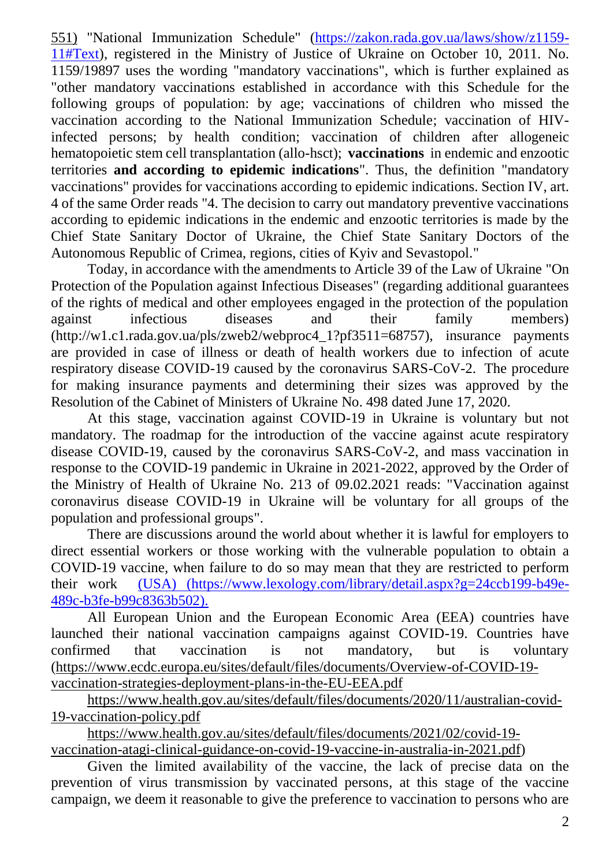[551\)](https://zakon.rada.gov.ua/laws/show/z1237-14#n16) "National Immunization Schedule" [\(https://zakon.rada.gov.ua/laws/show/z1159-](https://zakon.rada.gov.ua/laws/show/z1159-11#Text) [11#Text\)](https://zakon.rada.gov.ua/laws/show/z1159-11#Text), registered in the Ministry of Justice of Ukraine on October 10, 2011. No. 1159/19897 uses the wording "mandatory vaccinations", which is further explained as "other mandatory vaccinations established in accordance with this Schedule for the following groups of population: by age; vaccinations of children who missed the vaccination according to the National Immunization Schedule; vaccination of HIVinfected persons; by health condition; vaccination of children after allogeneic hematopoietic stem cell transplantation (allo-hsct); **vaccinations** in endemic and enzootic territories **and according to epidemic indications**". Thus, the definition "mandatory vaccinations" provides for vaccinations according to epidemic indications. Section IV, art. 4 of the same Order reads "4. The decision to carry out mandatory preventive vaccinations according to epidemic indications in the endemic and enzootic territories is made by the Chief State Sanitary Doctor of Ukraine, the Chief State Sanitary Doctors of the Autonomous Republic of Crimea, regions, cities of Kyiv and Sevastopol."

Today, in accordance with the amendments to Article 39 of the Law of Ukraine "On Protection of the Population against Infectious Diseases" (regarding additional guarantees of the rights of medical and other employees engaged in the protection of the population against infectious diseases and their family members) (http://w1.c1.rada.gov.ua/pls/zweb2/webproc4\_1?pf3511=68757), insurance payments are provided in case of illness or death of health workers due to infection of acute respiratory disease COVID-19 caused by the coronavirus SARS-CoV-2. The procedure for making insurance payments and determining their sizes was approved by the Resolution of the Cabinet of Ministers of Ukraine No. 498 dated June 17, 2020.

At this stage, vaccination against COVID-19 in Ukraine is voluntary but not mandatory. The roadmap for the introduction of the vaccine against acute respiratory disease COVID-19, caused by the coronavirus SARS-CoV-2, and mass vaccination in response to the COVID-19 pandemic in Ukraine in 2021-2022, approved by the Order of the Ministry of Health of Ukraine No. 213 of 09.02.2021 reads: "Vaccination against coronavirus disease COVID-19 in Ukraine will be voluntary for all groups of the population and professional groups".

There are discussions around the world about whether it is lawful for employers to direct essential workers or those working with the vulnerable population to obtain a COVID-19 vaccine, when failure to do so may mean that they are restricted to perform their work [\(USA\) \(https://www.lexology.com/library/detail.aspx?g=24ccb199-b49e-]((USA)%20(https:/www.lexology.com/library/detail.aspx?g=24ccb199-b49e-489c-b3fe-b99c8363b502).)[489c-b3fe-b99c8363b502\).]((USA)%20(https:/www.lexology.com/library/detail.aspx?g=24ccb199-b49e-489c-b3fe-b99c8363b502).)

All European Union and the European Economic Area (EEA) countries have launched their national vaccination campaigns against COVID-19. Countries have confirmed that vaccination is not mandatory, but is voluntary [\(https://www.ecdc.europa.eu/sites/default/files/documents/Overview-of-COVID-19](https://www.ecdc.europa.eu/sites/default/files/documents/Overview-of-COVID-19-vaccination-strategies-deployment-plans-in-the-EU-EEA.pdf) [vaccination-strategies-deployment-plans-in-the-EU-EEA.pdf](https://www.ecdc.europa.eu/sites/default/files/documents/Overview-of-COVID-19-vaccination-strategies-deployment-plans-in-the-EU-EEA.pdf)

[https://www.health.gov.au/sites/default/files/documents/2020/11/australian-covid-](https://www.health.gov.au/sites/default/files/documents/2020/11/australian-covid-19-vaccination-policy.pdf)[19-vaccination-policy.pdf](https://www.health.gov.au/sites/default/files/documents/2020/11/australian-covid-19-vaccination-policy.pdf)

[https://www.health.gov.au/sites/default/files/documents/2021/02/covid-19](https://www.health.gov.au/sites/default/files/documents/2021/02/covid-19-vaccination-atagi-clinical-guidance-on-covid-19-vaccine-in-australia-in-2021.pdf) [vaccination-atagi-clinical-guidance-on-covid-19-vaccine-in-australia-in-2021.pdf\)](https://www.health.gov.au/sites/default/files/documents/2021/02/covid-19-vaccination-atagi-clinical-guidance-on-covid-19-vaccine-in-australia-in-2021.pdf)

Given the limited availability of the vaccine, the lack of precise data on the prevention of virus transmission by vaccinated persons, at this stage of the vaccine campaign, we deem it reasonable to give the preference to vaccination to persons who are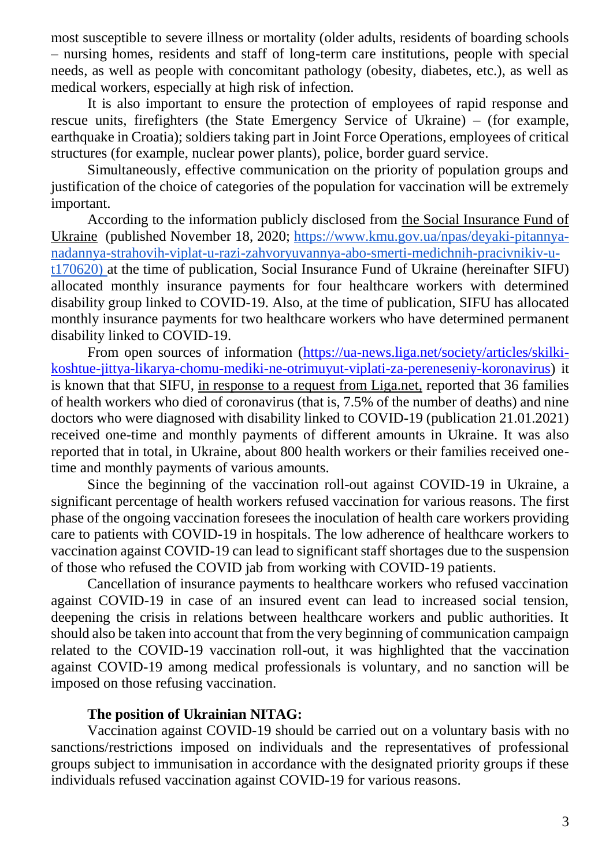most susceptible to severe illness or mortality (older adults, residents of boarding schools – nursing homes, residents and staff of long-term care institutions, people with special needs, as well as people with concomitant pathology (obesity, diabetes, etc.), as well as medical workers, especially at high risk of infection.

It is also important to ensure the protection of employees of rapid response and rescue units, firefighters (the State Emergency Service of Ukraine) – (for example, earthquake in Croatia); soldiers taking part in Joint Force Operations, employees of critical structures (for example, nuclear power plants), police, border guard service.

Simultaneously, effective communication on the priority of population groups and justification of the choice of categories of the population for vaccination will be extremely important.

According to the information publicly disclosed from [the Social Insurance Fund of](http://www.fssu.gov.ua/fse/control/main/uk/index;jsessionid=0A8040E832D5869E1753008CC9FACAEE)  [Ukraine](http://www.fssu.gov.ua/fse/control/main/uk/index;jsessionid=0A8040E832D5869E1753008CC9FACAEE) (published November 18, 2020; [https://www.kmu.gov.ua/npas/deyaki-pitannya](https://www.kmu.gov.ua/npas/deyaki-pitannya-nadannya-strahovih-viplat-u-razi-zahvoryuvannya-abo-smerti-medichnih-pracivnikiv-u-t170620)[nadannya-strahovih-viplat-u-razi-zahvoryuvannya-abo-smerti-medichnih-pracivnikiv-u](https://www.kmu.gov.ua/npas/deyaki-pitannya-nadannya-strahovih-viplat-u-razi-zahvoryuvannya-abo-smerti-medichnih-pracivnikiv-u-t170620)[t170620\)](https://www.kmu.gov.ua/npas/deyaki-pitannya-nadannya-strahovih-viplat-u-razi-zahvoryuvannya-abo-smerti-medichnih-pracivnikiv-u-t170620) at the time of publication, Social Insurance Fund of Ukraine (hereinafter SIFU) allocated monthly insurance payments for four healthcare workers with determined disability group linked to COVID-19. Also, at the time of publication, SIFU has allocated monthly insurance payments for two healthcare workers who have determined permanent disability linked to COVID-19.

From open sources of information [\(https://ua-news.liga.net/society/articles/skilki](https://ua-news.liga.net/society/articles/skilki-koshtue-jittya-likarya-chomu-mediki-ne-otrimuyut-viplati-za-pereneseniy-koronavirus)[koshtue-jittya-likarya-chomu-mediki-ne-otrimuyut-viplati-za-pereneseniy-koronavirus\)](https://ua-news.liga.net/society/articles/skilki-koshtue-jittya-likarya-chomu-mediki-ne-otrimuyut-viplati-za-pereneseniy-koronavirus) it is known that that SIFU, [in response to a request from Liga.net,](https://www.liga.net/) reported that 36 families of health workers who died of coronavirus (that is, 7.5% of the number of deaths) and nine doctors who were diagnosed with disability linked to COVID-19 (publication 21.01.2021) received one-time and monthly payments of different amounts in Ukraine. It was also reported that in total, in Ukraine, about 800 health workers or their families received onetime and monthly payments of various amounts.

Since the beginning of the vaccination roll-out against COVID-19 in Ukraine, a significant percentage of health workers refused vaccination for various reasons. The first phase of the ongoing vaccination foresees the inoculation of health care workers providing care to patients with COVID-19 in hospitals. The low adherence of healthcare workers to vaccination against COVID-19 can lead to significant staff shortages due to the suspension of those who refused the COVID jab from working with COVID-19 patients.

Cancellation of insurance payments to healthcare workers who refused vaccination against COVID-19 in case of an insured event can lead to increased social tension, deepening the crisis in relations between healthcare workers and public authorities. It should also be taken into account that from the very beginning of communication campaign related to the COVID-19 vaccination roll-out, it was highlighted that the vaccination against COVID-19 among medical professionals is voluntary, and no sanction will be imposed on those refusing vaccination.

#### **The position of Ukrainian NITAG:**

Vaccination against COVID-19 should be carried out on a voluntary basis with no sanctions/restrictions imposed on individuals and the representatives of professional groups subject to immunisation in accordance with the designated priority groups if these individuals refused vaccination against COVID-19 for various reasons.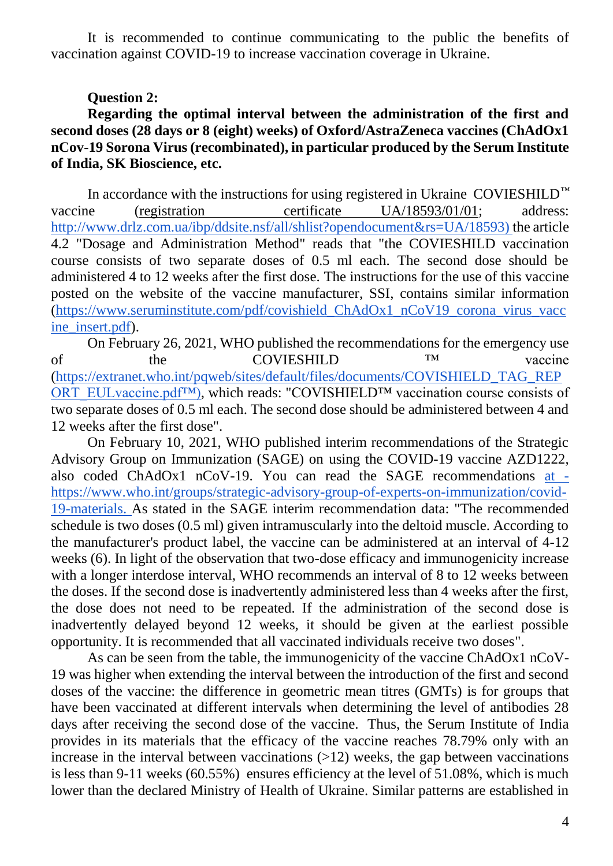It is recommended to continue communicating to the public the benefits of vaccination against COVID-19 to increase vaccination coverage in Ukraine.

### **Question 2:**

**Regarding the optimal interval between the administration of the first and second doses (28 days or 8 (eight) weeks) of Oxford/AstraZeneca vaccines (ChAdOx1 nCov-19 Sorona Virus (recombinated), in particular produced by the Serum Institute of India, SK Bioscience, etc.**

In accordance with the instructions for using registered in Ukraine COVIESHILD*™* vaccine (registration [certificate UA/18593/01/01;](http://www.drlz.com.ua/ibp/ddsite.nsf/all/shlz1?opendocument&stype=EDC22B65541B7E13C22586850028380D) address: [http://www.drlz.com.ua/ibp/ddsite.nsf/all/shlist?opendocument&rs=UA/18593\)](http://www.drlz.com.ua/ibp/ddsite.nsf/all/shlist?opendocument&rs=UA/18593) the article 4.2 "Dosage and Administration Method" reads that "the COVIESHILD vaccination course consists of two separate doses of 0.5 ml each. The second dose should be administered 4 to 12 weeks after the first dose. The instructions for the use of this vaccine posted on the website of the vaccine manufacturer, SSI, contains similar information [\(https://www.seruminstitute.com/pdf/covishield\\_ChAdOx1\\_nCoV19\\_corona\\_virus\\_vacc](https://www.seruminstitute.com/pdf/covishield_ChAdOx1_nCoV19_corona_virus_vaccine_insert.pdf) [ine\\_insert.pdf\)](https://www.seruminstitute.com/pdf/covishield_ChAdOx1_nCoV19_corona_virus_vaccine_insert.pdf).

On February 26, 2021, WHO published the recommendations for the emergency use of the COVIESHILD ™ vaccine [\(https://extranet.who.int/pqweb/sites/default/files/documents/COVISHIELD\\_TAG\\_REP](https://extranet.who.int/pqweb/sites/default/files/documents/COVISHIELD_TAG_REPORT_EULvaccine.pdf) [ORT\\_EULvaccine.pdf™\),](https://extranet.who.int/pqweb/sites/default/files/documents/COVISHIELD_TAG_REPORT_EULvaccine.pdf) which reads: "COVISHIELD™ vaccination course consists of two separate doses of 0.5 ml each. The second dose should be administered between 4 and 12 weeks after the first dose".

On February 10, 2021, WHO published interim recommendations of the Strategic Advisory Group on Immunization (SAGE) on using the COVID-19 vaccine AZD1222, also coded ChAdOx1 nCoV-19. You can read the SAGE recommendations [at](https://www.who.int/groups/strategic-advisory-group-of-experts-on-immunization/covid-19-materials)  [https://www.who.int/groups/strategic-advisory-group-of-experts-on-immunization/covid-](https://www.who.int/groups/strategic-advisory-group-of-experts-on-immunization/covid-19-materials)[19-materials.](https://www.who.int/groups/strategic-advisory-group-of-experts-on-immunization/covid-19-materials) As stated in the SAGE interim recommendation data: "The recommended schedule is two doses (0.5 ml) given intramuscularly into the deltoid muscle. According to the manufacturer's product label, the vaccine can be administered at an interval of 4-12 weeks (6). In light of the observation that two-dose efficacy and immunogenicity increase with a longer interdose interval, WHO recommends an interval of 8 to 12 weeks between the doses. If the second dose is inadvertently administered less than 4 weeks after the first, the dose does not need to be repeated. If the administration of the second dose is inadvertently delayed beyond 12 weeks, it should be given at the earliest possible opportunity. It is recommended that all vaccinated individuals receive two doses".

As can be seen from the table, the immunogenicity of the vaccine ChAdOx1 nCoV-19 was higher when extending the interval between the introduction of the first and second doses of the vaccine: the difference in geometric mean titres (GMTs) is for groups that have been vaccinated at different intervals when determining the level of antibodies 28 days after receiving the second dose of the vaccine. Thus, the Serum Institute of India provides in its materials that the efficacy of the vaccine reaches 78.79% only with an increase in the interval between vaccinations  $(>12)$  weeks, the gap between vaccinations is less than 9-11 weeks (60.55%) ensures efficiency at the level of 51.08%, which is much lower than the declared Ministry of Health of Ukraine. Similar patterns are established in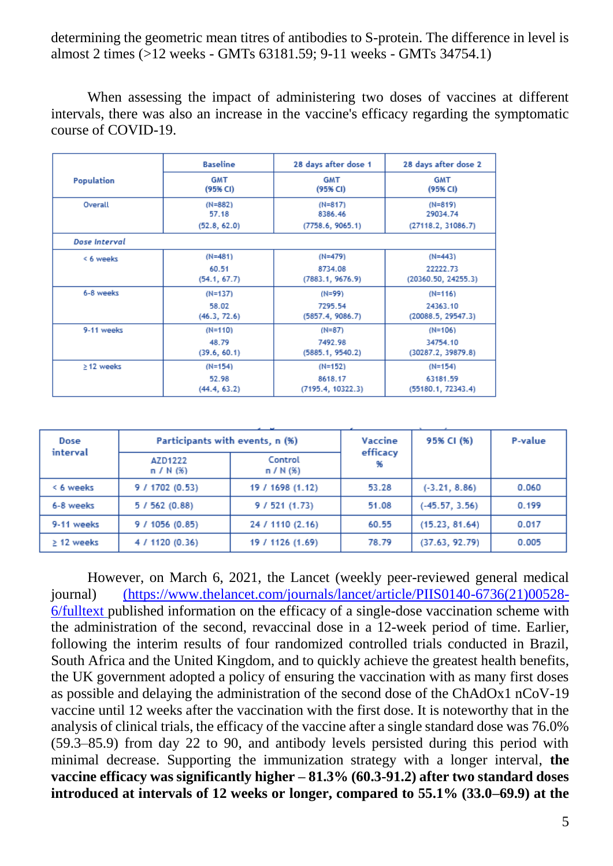determining the geometric mean titres of antibodies to S-protein. The difference in level is almost 2 times (>12 weeks - GMTs 63181.59; 9-11 weeks - GMTs 34754.1)

When assessing the impact of administering two doses of vaccines at different intervals, there was also an increase in the vaccine's efficacy regarding the symptomatic course of COVID-19.

|                 | <b>Baseline</b>        | 28 days after dose 1   | 28 days after dose 2   |
|-----------------|------------------------|------------------------|------------------------|
| Population      | <b>GMT</b><br>(95% CI) | <b>GMT</b><br>(95% CI) | <b>GMT</b><br>(95% CI) |
| Overall         | $(N=882)$<br>57.18     | $(N=817)$<br>8386.46   | $(N=819)$<br>29034.74  |
|                 | (52.8, 62.0)           | (7758.6, 9065.1)       | (27118.2, 31086.7)     |
| Dose Interval   |                        |                        |                        |
| < 6 weeks       | $(N=481)$              | $(N=479)$              | $(N=443)$              |
|                 | 60.51                  | 8734.08                | 22222.73               |
|                 | (54.1, 67.7)           | (7883.1, 9676.9)       | (20360.50, 24255.3)    |
| 6-8 weeks       | $(N=137)$              | (N=99)                 | $(N=116)$              |
|                 | 58.02                  | 7295.54                | 24363.10               |
|                 | (46.3, 72.6)           | (5857.4, 9086.7)       | (20088.5, 29547.3)     |
| 9-11 weeks      | $(N=110)$              | $(N=87)$               | $(N=106)$              |
|                 | 48.79                  | 7492.98                | 34754.10               |
|                 | (39.6, 60.1)           | (5885.1, 9540.2)       | (30287.2, 39879.8)     |
| $\geq$ 12 weeks | $(N=154)$              | $(N=152)$              | $(N=154)$              |
|                 | 52.98                  | 8618.17                | 63181.59               |
|                 | (44.4, 63.2)           | (7195.4, 10322.3)      | (55180.1, 72343.4)     |

| Dose<br>interval | Participants with events, n (%) |                        | Vaccine        | 95% CI (%)       | P-value |
|------------------|---------------------------------|------------------------|----------------|------------------|---------|
|                  | AZD1222<br>$n / N$ (%)          | Control<br>$n / N$ (%) | efficacy<br>96 |                  |         |
| < 6 weeks        | 9/1702(0.53)                    | 19 / 1698 (1.12)       | 53.28          | $(-3.21, 8.86)$  | 0.060   |
| 6-8 weeks        | 5/562(0.88)                     | 9/521(1.73)            | 51.08          | $(-45.57, 3.56)$ | 0.199   |
| 9-11 weeks       | 9/1056(0.85)                    | 24 / 1110 (2.16)       | 60.55          | (15.23, 81.64)   | 0.017   |
| $\geq$ 12 weeks  | 4 / 1120 (0.36)                 | 19 / 1126 (1.69)       | 78.79          | (37.63, 92.79)   | 0.005   |

However, on March 6, 2021, the Lancet (weekly peer-reviewed general medical journal) [\(https://www.thelancet.com/journals/lancet/article/PIIS0140-6736\(21\)00528-]((https:/www.thelancet.com/journals/lancet/article/PIIS0140-6736(21)00528-6/fulltext) [6/fulltext]((https:/www.thelancet.com/journals/lancet/article/PIIS0140-6736(21)00528-6/fulltext) published information on the efficacy of a single-dose vaccination scheme with the administration of the second, revaccinal dose in a 12-week period of time. Earlier, following the interim results of four randomized controlled trials conducted in Brazil, South Africa and the United Kingdom, and to quickly achieve the greatest health benefits, the UK government adopted a policy of ensuring the vaccination with as many first doses as possible and delaying the administration of the second dose of the ChAdOx1 nCoV-19 vaccine until 12 weeks after the vaccination with the first dose. It is noteworthy that in the analysis of clinical trials, the efficacy of the vaccine after a single standard dose was 76.0% (59.3–85.9) from day 22 to 90, and antibody levels persisted during this period with minimal decrease. Supporting the immunization strategy with a longer interval, **the vaccine efficacy was significantly higher – 81.3% (60.3-91.2) after two standard doses introduced at intervals of 12 weeks or longer, compared to 55.1% (33.0–69.9) at the**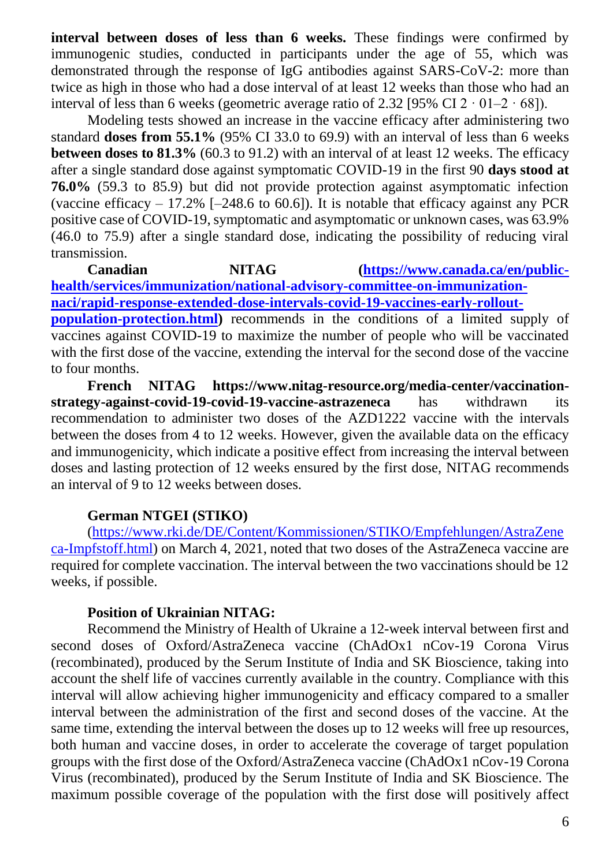**interval between doses of less than 6 weeks.** These findings were confirmed by immunogenic studies, conducted in participants under the age of 55, which was demonstrated through the response of IgG antibodies against SARS-CoV-2: more than twice as high in those who had a dose interval of at least 12 weeks than those who had an interval of less than 6 weeks (geometric average ratio of 2.32 [95% CI  $2 \cdot 01 - 2 \cdot 68$ ]).

Modeling tests showed an increase in the vaccine efficacy after administering two standard **doses from 55.1%** (95% CI 33.0 to 69.9) with an interval of less than 6 weeks **between doses to 81.3%** (60.3 to 91.2) with an interval of at least 12 weeks. The efficacy after a single standard dose against symptomatic COVID-19 in the first 90 **days stood at 76.0%** (59.3 to 85.9) but did not provide protection against asymptomatic infection (vaccine efficacy  $-17.2\%$  [-248.6 to 60.6]). It is notable that efficacy against any PCR positive case of COVID-19, symptomatic and asymptomatic or unknown cases, was 63.9% (46.0 to 75.9) after a single standard dose, indicating the possibility of reducing viral transmission.

**Canadian NITAG [\(https://www.canada.ca/en/public](https://www.canada.ca/en/public-health/services/immunization/national-advisory-committee-on-immunization-naci/rapid-response-extended-dose-intervals-covid-19-vaccines-early-rollout-population-protection.html)[health/services/immunization/national-advisory-committee-on-immunization](https://www.canada.ca/en/public-health/services/immunization/national-advisory-committee-on-immunization-naci/rapid-response-extended-dose-intervals-covid-19-vaccines-early-rollout-population-protection.html)[naci/rapid-response-extended-dose-intervals-covid-19-vaccines-early-rollout](https://www.canada.ca/en/public-health/services/immunization/national-advisory-committee-on-immunization-naci/rapid-response-extended-dose-intervals-covid-19-vaccines-early-rollout-population-protection.html)population-protection.html**) recommends in the conditions of a limited supply of vaccines against COVID-19 to maximize the number of people who will be vaccinated with the first dose of the vaccine, extending the interval for the second dose of the vaccine to four months.

**French NITAG https://www.nitag-resource.org/media-center/vaccinationstrategy-against-covid-19-covid-19-vaccine-astrazeneca** has withdrawn its recommendation to administer two doses of the AZD1222 vaccine with the intervals between the doses from 4 to 12 weeks. However, given the available data on the efficacy and immunogenicity, which indicate a positive effect from increasing the interval between doses and lasting protection of 12 weeks ensured by the first dose, NITAG recommends an interval of 9 to 12 weeks between doses.

## **German NTGEI (STIKO)**

[\(https://www.rki.de/DE/Content/Kommissionen/STIKO/Empfehlungen/AstraZene](https://www.rki.de/DE/Content/Kommissionen/STIKO/Empfehlungen/AstraZeneca-Impfstoff.html) [ca-Impfstoff.html\)](https://www.rki.de/DE/Content/Kommissionen/STIKO/Empfehlungen/AstraZeneca-Impfstoff.html) on March 4, 2021, noted that two doses of the AstraZeneca vaccine are required for complete vaccination. The interval between the two vaccinations should be 12 weeks, if possible.

## **Position of Ukrainian NITAG:**

Recommend the Ministry of Health of Ukraine a 12-week interval between first and second doses of Oxford/AstraZeneca vaccine (ChAdOx1 nCov-19 Corona Virus (recombinated), produced by the Serum Institute of India and SK Bioscience, taking into account the shelf life of vaccines currently available in the country. Compliance with this interval will allow achieving higher immunogenicity and efficacy compared to a smaller interval between the administration of the first and second doses of the vaccine. At the same time, extending the interval between the doses up to 12 weeks will free up resources, both human and vaccine doses, in order to accelerate the coverage of target population groups with the first dose of the Oxford/AstraZeneca vaccine (ChAdOx1 nCov-19 Corona Virus (recombinated), produced by the Serum Institute of India and SK Bioscience. The maximum possible coverage of the population with the first dose will positively affect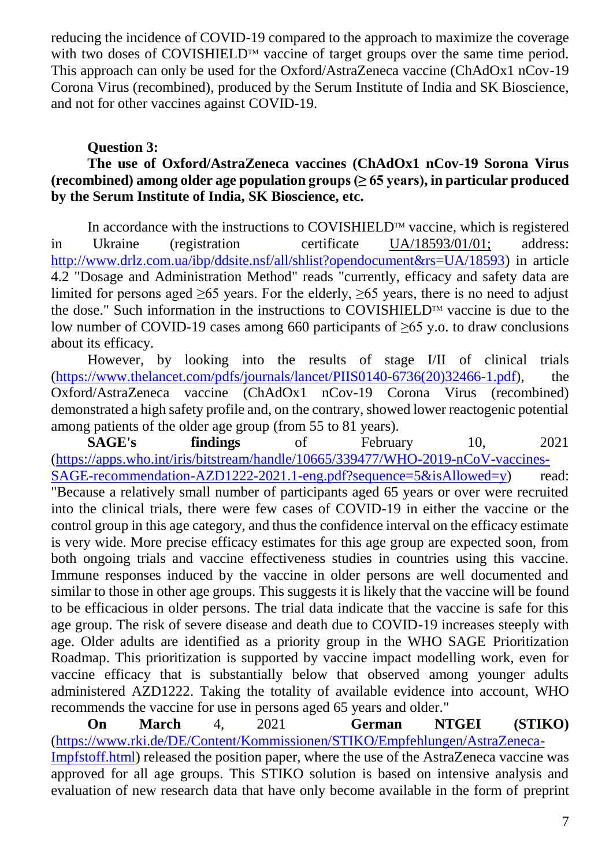reducing the incidence of COVID-19 compared to the approach to maximize the coverage with two doses of COVISHIELD<sup>TM</sup> vaccine of target groups over the same time period. This approach can only be used for the Oxford/AstraZeneca vaccine (ChAdOx1 nCov-19 Corona Virus (recombined), produced by the Serum Institute of India and SK Bioscience, and not for other vaccines against COVID-19.

# **Question 3:**

# **The use of Oxford/AstraZeneca vaccines (ChAdOx1 nCov-19 Sorona Virus (recombined) among older age population groups (≥ 65 years), in particular produced by the Serum Institute of India, SK Bioscience, etc.**

In accordance with the instructions to COVISHIELD<sup>TM</sup> vaccine, which is registered in Ukraine (registration [certificate UA/18593/01/01;](http://www.drlz.com.ua/ibp/ddsite.nsf/all/shlz1?opendocument&stype=EDC22B65541B7E13C22586850028380D) address: [http://www.drlz.com.ua/ibp/ddsite.nsf/all/shlist?opendocument&rs=UA/18593\)](http://www.drlz.com.ua/ibp/ddsite.nsf/all/shlist?opendocument&rs=UA/18593) in article 4.2 "Dosage and Administration Method" reads "currently, efficacy and safety data are limited for persons aged  $\geq 65$  years. For the elderly,  $\geq 65$  years, there is no need to adjust the dose." Such information in the instructions to COVISHIELD<sup>TM</sup> vaccine is due to the low number of COVID-19 cases among 660 participants of  $\geq 65$  y.o. to draw conclusions about its efficacy.

However, by looking into the results of stage I/II of clinical trials [\(https://www.thelancet.com/pdfs/journals/lancet/PIIS0140-6736\(20\)32466-1.pdf\)](https://www.thelancet.com/pdfs/journals/lancet/PIIS0140-6736(20)32466-1.pdf), the Oxford/AstraZeneca vaccine (ChAdOx1 nCov-19 Corona Virus (recombined) demonstrated a high safety profile and, on the contrary, showed lower reactogenic potential among patients of the older age group (from 55 to 81 years).

**SAGE's findings** of February 10, 2021 [\(https://apps.who.int/iris/bitstream/handle/10665/339477/WHO-2019-nCoV-vaccines-](https://apps.who.int/iris/bitstream/handle/10665/339477/WHO-2019-nCoV-vaccines-SAGE-recommendation-AZD1222-2021.1-eng.pdf?sequence=5&isAllowed=y)[SAGE-recommendation-AZD1222-2021.1-eng.pdf?sequence=5&isAllowed=y\)](https://apps.who.int/iris/bitstream/handle/10665/339477/WHO-2019-nCoV-vaccines-SAGE-recommendation-AZD1222-2021.1-eng.pdf?sequence=5&isAllowed=y) read: "Because a relatively small number of participants aged 65 years or over were recruited into the clinical trials, there were few cases of COVID-19 in either the vaccine or the control group in this age category, and thus the confidence interval on the efficacy estimate is very wide. More precise efficacy estimates for this age group are expected soon, from both ongoing trials and vaccine effectiveness studies in countries using this vaccine. Immune responses induced by the vaccine in older persons are well documented and similar to those in other age groups. This suggests it is likely that the vaccine will be found to be efficacious in older persons. The trial data indicate that the vaccine is safe for this age group. The risk of severe disease and death due to COVID-19 increases steeply with age. Older adults are identified as a priority group in the WHO SAGE Prioritization Roadmap. This prioritization is supported by vaccine impact modelling work, even for vaccine efficacy that is substantially below that observed among younger adults administered AZD1222. Taking the totality of available evidence into account, WHO recommends the vaccine for use in persons aged 65 years and older."

**On March** 4, 2021 **German NTGEI (STIKO)** [\(https://www.rki.de/DE/Content/Kommissionen/STIKO/Empfehlungen/AstraZeneca-](https://www.rki.de/DE/Content/Kommissionen/STIKO/Empfehlungen/AstraZeneca-Impfstoff.html)[Impfstoff.html\)](https://www.rki.de/DE/Content/Kommissionen/STIKO/Empfehlungen/AstraZeneca-Impfstoff.html) released the position paper, where the use of the AstraZeneca vaccine was approved for all age groups. This STIKO solution is based on intensive analysis and evaluation of new research data that have only become available in the form of preprint